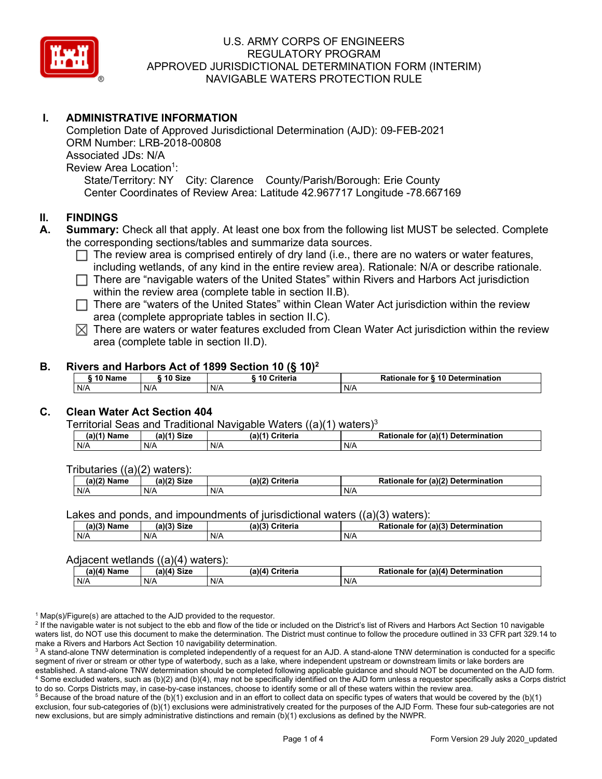

# **I. ADMINISTRATIVE INFORMATION**

Completion Date of Approved Jurisdictional Determination (AJD): 09-FEB-2021 ORM Number: LRB-2018-00808 Associated JDs: N/A Review Area Location<sup>1</sup>: State/Territory: NY City: Clarence County/Parish/Borough: Erie County Center Coordinates of Review Area: Latitude 42.967717 Longitude -78.667169

## **II. FINDINGS**

- **A. Summary:** Check all that apply. At least one box from the following list MUST be selected. Complete the corresponding sections/tables and summarize data sources.
	- $\Box$  The review area is comprised entirely of dry land (i.e., there are no waters or water features, including wetlands, of any kind in the entire review area). Rationale: N/A or describe rationale.
	- There are "navigable waters of the United States" within Rivers and Harbors Act jurisdiction within the review area (complete table in section II.B).
	- $\Box$  There are "waters of the United States" within Clean Water Act jurisdiction within the review area (complete appropriate tables in section II.C).
	- $\boxtimes$  There are waters or water features excluded from Clean Water Act jurisdiction within the review area (complete table in section II.D).

### **B. Rivers and Harbors Act of 1899 Section 10 (§ 10)2**

| $\frac{1}{2}$ |              |         |                        |                                  |  |  |  |  |
|---------------|--------------|---------|------------------------|----------------------------------|--|--|--|--|
|               | <b>AA 51</b> | 10 Size | <b>Criteria</b><br>-10 | Rationale for § 10 Determination |  |  |  |  |
|               | N/A          | N/A     | N/A                    | N/A                              |  |  |  |  |

# **C. Clean Water Act Section 404**

Territorial Seas and Traditional Navigable Waters  $((a)(1)$  waters)<sup>3</sup>

| Name<br>a) | <b>Size</b><br>01/41 | $(a)$ $(4)$<br>Criteria | $ur$ (a) $(4)$<br><b>Determination</b><br>Rationale<br>tor |
|------------|----------------------|-------------------------|------------------------------------------------------------|
| N/A        | N/A                  | N/A                     | N/A                                                        |

Tributaries ((a)(2) waters):

| $(a)$ ( $\degree$<br>Name | $\sim$ $\sim$<br>C <sub>1</sub><br>JIZE<br>,,, | (a)(2)<br>Criteria | (a)(2) Determination<br>Dational<br>tor<br>nale<br>тіг |  |  |
|---------------------------|------------------------------------------------|--------------------|--------------------------------------------------------|--|--|
| N/A                       | N/A                                            | N/A                | N/A                                                    |  |  |

Lakes and ponds, and impoundments of jurisdictional waters ((a)(3) waters):

| $(a)(3)$ $^{\prime\prime}$ | $(a)(3)$ Size | (a)(?')  | for (a)(3) Determination |
|----------------------------|---------------|----------|--------------------------|
| Name                       |               | Criteria | Rationale                |
| N/A                        | N/A           | N/A      | N/A                      |

#### Adjacent wetlands ((a)(4) waters):

| .             |               |                    |                                              |  |  |
|---------------|---------------|--------------------|----------------------------------------------|--|--|
| $(a)(4)$ Name | $(a)(4)$ Size | (a)(4)<br>Criteria | (a)(4) Determination<br><b>Rationale for</b> |  |  |
| N/A           | N/A           | N/A                | N/A                                          |  |  |

 $1$  Map(s)/Figure(s) are attached to the AJD provided to the requestor.

<sup>2</sup> If the navigable water is not subject to the ebb and flow of the tide or included on the District's list of Rivers and Harbors Act Section 10 navigable waters list, do NOT use this document to make the determination. The District must continue to follow the procedure outlined in 33 CFR part 329.14 to make a Rivers and Harbors Act Section 10 navigability determination.

<sup>3</sup> A stand-alone TNW determination is completed independently of a request for an AJD. A stand-alone TNW determination is conducted for a specific segment of river or stream or other type of waterbody, such as a lake, where independent upstream or downstream limits or lake borders are established. A stand-alone TNW determination should be completed following applicable guidance and should NOT be documented on the AJD form. <sup>4</sup> Some excluded waters, such as (b)(2) and (b)(4), may not be specifically identified on the AJD form unless a requestor specifically asks a Corps district to do so. Corps Districts may, in case-by-case instances, choose to identify some or all of these waters within the review area.

 $5$  Because of the broad nature of the (b)(1) exclusion and in an effort to collect data on specific types of waters that would be covered by the (b)(1) exclusion, four sub-categories of (b)(1) exclusions were administratively created for the purposes of the AJD Form. These four sub-categories are not new exclusions, but are simply administrative distinctions and remain (b)(1) exclusions as defined by the NWPR.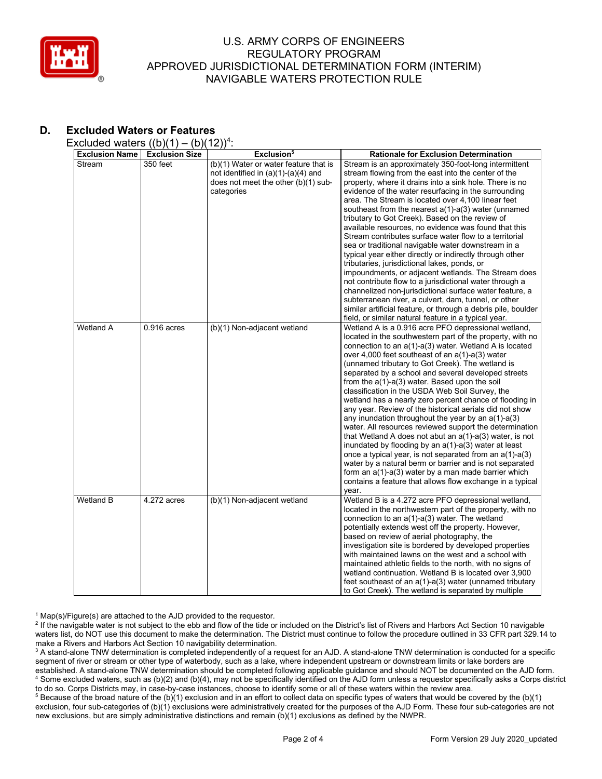

# **D. Excluded Waters or Features**

Excluded waters  $((b)(1) - (b)(12))^4$ :

|                       | <u>、~ 八</u>           | $\frac{1}{2}$ .                       |                                                               |
|-----------------------|-----------------------|---------------------------------------|---------------------------------------------------------------|
| <b>Exclusion Name</b> | <b>Exclusion Size</b> | Exclusion <sup>5</sup>                | <b>Rationale for Exclusion Determination</b>                  |
| Stream                | 350 feet              | (b)(1) Water or water feature that is | Stream is an approximately 350-foot-long intermittent         |
|                       |                       | not identified in $(a)(1)-(a)(4)$ and | stream flowing from the east into the center of the           |
|                       |                       | does not meet the other (b)(1) sub-   | property, where it drains into a sink hole. There is no       |
|                       |                       | categories                            | evidence of the water resurfacing in the surrounding          |
|                       |                       |                                       | area. The Stream is located over 4,100 linear feet            |
|                       |                       |                                       | southeast from the nearest a(1)-a(3) water (unnamed           |
|                       |                       |                                       | tributary to Got Creek). Based on the review of               |
|                       |                       |                                       | available resources, no evidence was found that this          |
|                       |                       |                                       | Stream contributes surface water flow to a territorial        |
|                       |                       |                                       | sea or traditional navigable water downstream in a            |
|                       |                       |                                       |                                                               |
|                       |                       |                                       | typical year either directly or indirectly through other      |
|                       |                       |                                       | tributaries, jurisdictional lakes, ponds, or                  |
|                       |                       |                                       | impoundments, or adjacent wetlands. The Stream does           |
|                       |                       |                                       | not contribute flow to a jurisdictional water through a       |
|                       |                       |                                       | channelized non-jurisdictional surface water feature, a       |
|                       |                       |                                       | subterranean river, a culvert, dam, tunnel, or other          |
|                       |                       |                                       | similar artificial feature, or through a debris pile, boulder |
|                       |                       |                                       | field, or similar natural feature in a typical year.          |
| <b>Wetland A</b>      | $0.916$ acres         | (b)(1) Non-adjacent wetland           | Wetland A is a 0.916 acre PFO depressional wetland,           |
|                       |                       |                                       | located in the southwestern part of the property, with no     |
|                       |                       |                                       | connection to an a(1)-a(3) water. Wetland A is located        |
|                       |                       |                                       | over 4,000 feet southeast of an a(1)-a(3) water               |
|                       |                       |                                       |                                                               |
|                       |                       |                                       | (unnamed tributary to Got Creek). The wetland is              |
|                       |                       |                                       | separated by a school and several developed streets           |
|                       |                       |                                       | from the $a(1)$ - $a(3)$ water. Based upon the soil           |
|                       |                       |                                       | classification in the USDA Web Soil Survey, the               |
|                       |                       |                                       | wetland has a nearly zero percent chance of flooding in       |
|                       |                       |                                       | any year. Review of the historical aerials did not show       |
|                       |                       |                                       | any inundation throughout the year by an $a(1)-a(3)$          |
|                       |                       |                                       | water. All resources reviewed support the determination       |
|                       |                       |                                       | that Wetland A does not abut an $a(1)$ - $a(3)$ water, is not |
|                       |                       |                                       | inundated by flooding by an a(1)-a(3) water at least          |
|                       |                       |                                       | once a typical year, is not separated from an a(1)-a(3)       |
|                       |                       |                                       | water by a natural berm or barrier and is not separated       |
|                       |                       |                                       | form an a(1)-a(3) water by a man made barrier which           |
|                       |                       |                                       | contains a feature that allows flow exchange in a typical     |
|                       |                       |                                       | year.                                                         |
| <b>Wetland B</b>      | 4.272 acres           | (b)(1) Non-adjacent wetland           | Wetland B is a 4.272 acre PFO depressional wetland,           |
|                       |                       |                                       | located in the northwestern part of the property, with no     |
|                       |                       |                                       |                                                               |
|                       |                       |                                       | connection to an a(1)-a(3) water. The wetland                 |
|                       |                       |                                       | potentially extends west off the property. However,           |
|                       |                       |                                       | based on review of aerial photography, the                    |
|                       |                       |                                       | investigation site is bordered by developed properties        |
|                       |                       |                                       | with maintained lawns on the west and a school with           |
|                       |                       |                                       | maintained athletic fields to the north, with no signs of     |
|                       |                       |                                       | wetland continuation. Wetland B is located over 3,900         |
|                       |                       |                                       | feet southeast of an $a(1)$ - $a(3)$ water (unnamed tributary |
|                       |                       |                                       | to Got Creek). The wetland is separated by multiple           |

 $1$  Map(s)/Figure(s) are attached to the AJD provided to the requestor.

<sup>2</sup> If the navigable water is not subject to the ebb and flow of the tide or included on the District's list of Rivers and Harbors Act Section 10 navigable waters list, do NOT use this document to make the determination. The District must continue to follow the procedure outlined in 33 CFR part 329.14 to make a Rivers and Harbors Act Section 10 navigability determination.

<sup>3</sup> A stand-alone TNW determination is completed independently of a request for an AJD. A stand-alone TNW determination is conducted for a specific segment of river or stream or other type of waterbody, such as a lake, where independent upstream or downstream limits or lake borders are established. A stand-alone TNW determination should be completed following applicable guidance and should NOT be documented on the AJD form. <sup>4</sup> Some excluded waters, such as (b)(2) and (b)(4), may not be specifically identified on the AJD form unless a requestor specifically asks a Corps district to do so. Corps Districts may, in case-by-case instances, choose to identify some or all of these waters within the review area.

<sup>5</sup> Because of the broad nature of the (b)(1) exclusion and in an effort to collect data on specific types of waters that would be covered by the (b)(1) exclusion, four sub-categories of (b)(1) exclusions were administratively created for the purposes of the AJD Form. These four sub-categories are not new exclusions, but are simply administrative distinctions and remain (b)(1) exclusions as defined by the NWPR.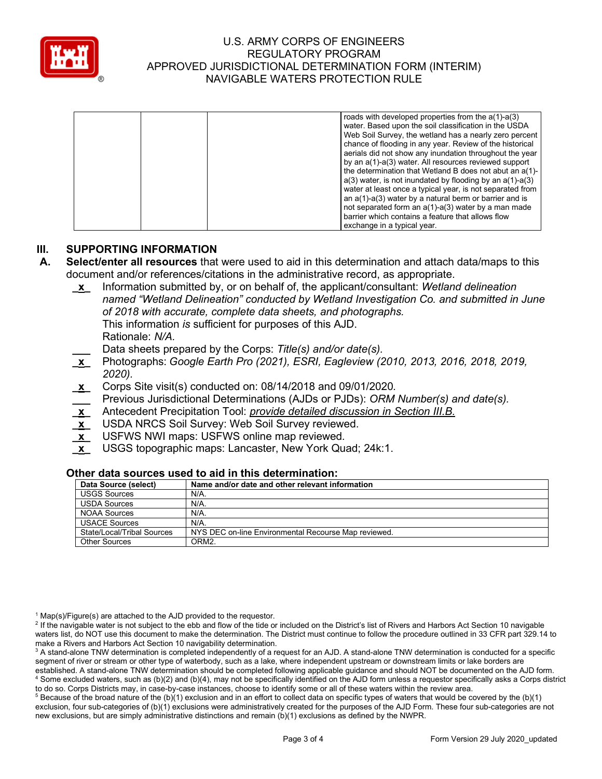

|  | roads with developed properties from the $a(1)-a(3)$             |
|--|------------------------------------------------------------------|
|  | water. Based upon the soil classification in the USDA            |
|  | Web Soil Survey, the wetland has a nearly zero percent           |
|  | chance of flooding in any year. Review of the historical         |
|  | aerials did not show any inundation throughout the year          |
|  | by an a(1)-a(3) water. All resources reviewed support            |
|  | the determination that Wetland B does not abut an a(1)-          |
|  | $a(3)$ water, is not inundated by flooding by an $a(1)$ - $a(3)$ |
|  | water at least once a typical year, is not separated from        |
|  | an a(1)-a(3) water by a natural berm or barrier and is           |
|  | not separated form an a(1)-a(3) water by a man made              |
|  | barrier which contains a feature that allows flow                |
|  | exchange in a typical year.                                      |

### **III. SUPPORTING INFORMATION**

- **A. Select/enter all resources** that were used to aid in this determination and attach data/maps to this document and/or references/citations in the administrative record, as appropriate.
	- **\_x\_** Information submitted by, or on behalf of, the applicant/consultant: *Wetland delineation named "Wetland Delineation" conducted by Wetland Investigation Co. and submitted in June of 2018 with accurate, complete data sheets, and photographs.* This information *is* sufficient for purposes of this AJD. Rationale: *N/A.*
	- **\_\_\_** Data sheets prepared by the Corps: *Title(s) and/or date(s).*
	- **\_x\_** Photographs: *Google Earth Pro (2021), ESRI, Eagleview (2010, 2013, 2016, 2018, 2019, 2020).*
	- **\_x\_** Corps Site visit(s) conducted on: 08/14/2018 and 09/01/2020*.*
	- **\_\_\_** Previous Jurisdictional Determinations (AJDs or PJDs): *ORM Number(s) and date(s).*
	- **\_x\_** Antecedent Precipitation Tool: *provide detailed discussion in Section III.B.*
	- **\_x\_** USDA NRCS Soil Survey: Web Soil Survey reviewed.
	- **\_x\_** USFWS NWI maps: USFWS online map reviewed*.*
	- **\_x\_** USGS topographic maps: Lancaster, New York Quad; 24k:1.

### **Other data sources used to aid in this determination:**

| Data Source (select)       | Name and/or date and other relevant information      |
|----------------------------|------------------------------------------------------|
| <b>USGS Sources</b>        | N/A.                                                 |
| <b>USDA Sources</b>        | N/A.                                                 |
| NOAA Sources               | N/A.                                                 |
| <b>USACE Sources</b>       | $N/A$ .                                              |
| State/Local/Tribal Sources | NYS DEC on-line Environmental Recourse Map reviewed. |
| <b>Other Sources</b>       | ORM <sub>2</sub>                                     |

 $1$  Map(s)/Figure(s) are attached to the AJD provided to the requestor.

<sup>2</sup> If the navigable water is not subject to the ebb and flow of the tide or included on the District's list of Rivers and Harbors Act Section 10 navigable waters list, do NOT use this document to make the determination. The District must continue to follow the procedure outlined in 33 CFR part 329.14 to make a Rivers and Harbors Act Section 10 navigability determination.

to do so. Corps Districts may, in case-by-case instances, choose to identify some or all of these waters within the review area.  $5$  Because of the broad nature of the (b)(1) exclusion and in an effort to collect data on specific types of waters that would be covered by the (b)(1) exclusion, four sub-categories of (b)(1) exclusions were administratively created for the purposes of the AJD Form. These four sub-categories are not new exclusions, but are simply administrative distinctions and remain (b)(1) exclusions as defined by the NWPR.

<sup>&</sup>lt;sup>3</sup> A stand-alone TNW determination is completed independently of a request for an AJD. A stand-alone TNW determination is conducted for a specific segment of river or stream or other type of waterbody, such as a lake, where independent upstream or downstream limits or lake borders are established. A stand-alone TNW determination should be completed following applicable guidance and should NOT be documented on the AJD form. <sup>4</sup> Some excluded waters, such as (b)(2) and (b)(4), may not be specifically identified on the AJD form unless a requestor specifically asks a Corps district